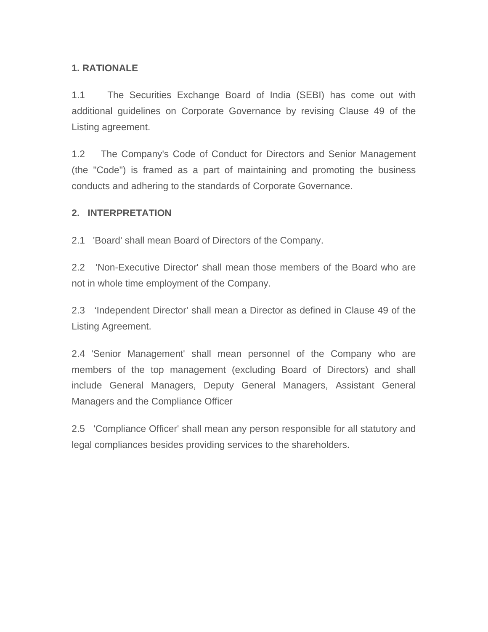### **1. RATIONALE**

1.1 The Securities Exchange Board of India (SEBI) has come out with additional guidelines on Corporate Governance by revising Clause 49 of the Listing agreement.

1.2 The Company's Code of Conduct for Directors and Senior Management (the "Code") is framed as a part of maintaining and promoting the business conducts and adhering to the standards of Corporate Governance.

#### **2. INTERPRETATION**

2.1 'Board' shall mean Board of Directors of the Company.

2.2 'Non-Executive Director' shall mean those members of the Board who are not in whole time employment of the Company.

2.3 'Independent Director' shall mean a Director as defined in Clause 49 of the Listing Agreement.

2.4 'Senior Management' shall mean personnel of the Company who are members of the top management (excluding Board of Directors) and shall include General Managers, Deputy General Managers, Assistant General Managers and the Compliance Officer

2.5 'Compliance Officer' shall mean any person responsible for all statutory and legal compliances besides providing services to the shareholders.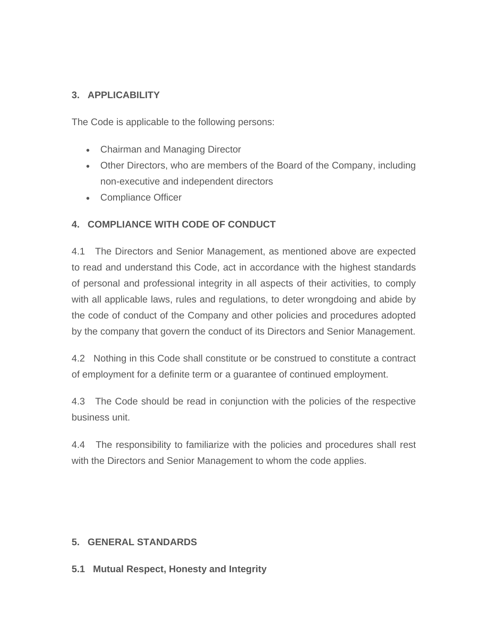## **3. APPLICABILITY**

The Code is applicable to the following persons:

- Chairman and Managing Director
- Other Directors, who are members of the Board of the Company, including non-executive and independent directors
- Compliance Officer

## **4. COMPLIANCE WITH CODE OF CONDUCT**

4.1 The Directors and Senior Management, as mentioned above are expected to read and understand this Code, act in accordance with the highest standards of personal and professional integrity in all aspects of their activities, to comply with all applicable laws, rules and regulations, to deter wrongdoing and abide by the code of conduct of the Company and other policies and procedures adopted by the company that govern the conduct of its Directors and Senior Management.

4.2 Nothing in this Code shall constitute or be construed to constitute a contract of employment for a definite term or a guarantee of continued employment.

4.3 The Code should be read in conjunction with the policies of the respective business unit.

4.4 The responsibility to familiarize with the policies and procedures shall rest with the Directors and Senior Management to whom the code applies.

### **5. GENERAL STANDARDS**

**5.1 Mutual Respect, Honesty and Integrity**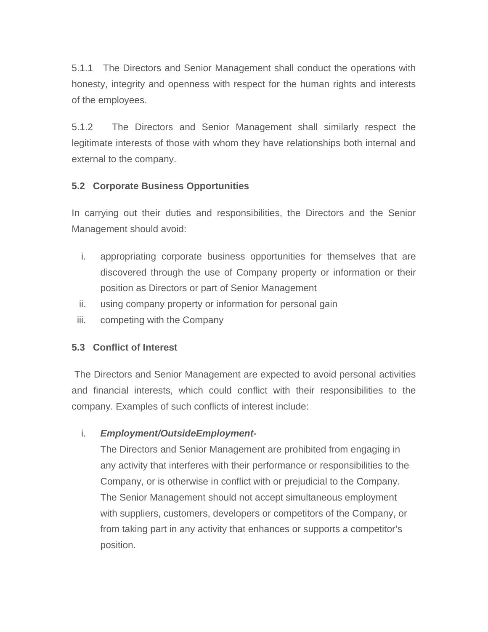5.1.1 The Directors and Senior Management shall conduct the operations with honesty, integrity and openness with respect for the human rights and interests of the employees.

5.1.2 The Directors and Senior Management shall similarly respect the legitimate interests of those with whom they have relationships both internal and external to the company.

### **5.2 Corporate Business Opportunities**

In carrying out their duties and responsibilities, the Directors and the Senior Management should avoid:

- i. appropriating corporate business opportunities for themselves that are discovered through the use of Company property or information or their position as Directors or part of Senior Management
- ii. using company property or information for personal gain
- iii. competing with the Company

# **5.3 Conflict of Interest**

 The Directors and Senior Management are expected to avoid personal activities and financial interests, which could conflict with their responsibilities to the company. Examples of such conflicts of interest include:

# i. *Employment/OutsideEmployment-*

The Directors and Senior Management are prohibited from engaging in any activity that interferes with their performance or responsibilities to the Company, or is otherwise in conflict with or prejudicial to the Company. The Senior Management should not accept simultaneous employment with suppliers, customers, developers or competitors of the Company, or from taking part in any activity that enhances or supports a competitor's position.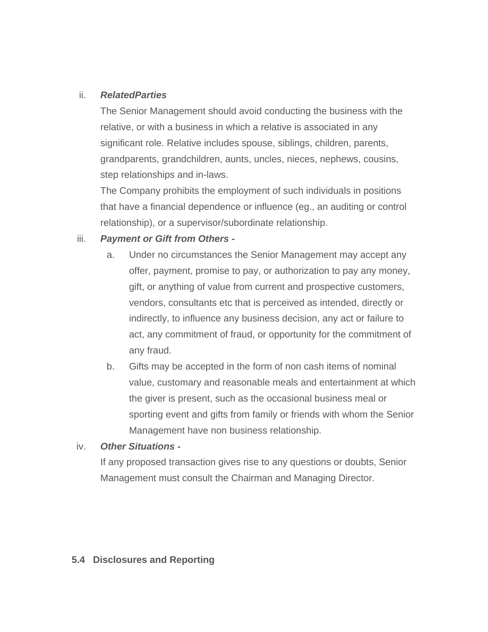#### ii. *RelatedParties*

The Senior Management should avoid conducting the business with the relative, or with a business in which a relative is associated in any significant role. Relative includes spouse, siblings, children, parents, grandparents, grandchildren, aunts, uncles, nieces, nephews, cousins, step relationships and in-laws.

The Company prohibits the employment of such individuals in positions that have a financial dependence or influence (eg., an auditing or control relationship), or a supervisor/subordinate relationship.

### iii. *Payment or Gift from Others -*

- a. Under no circumstances the Senior Management may accept any offer, payment, promise to pay, or authorization to pay any money, gift, or anything of value from current and prospective customers, vendors, consultants etc that is perceived as intended, directly or indirectly, to influence any business decision, any act or failure to act, any commitment of fraud, or opportunity for the commitment of any fraud.
- b. Gifts may be accepted in the form of non cash items of nominal value, customary and reasonable meals and entertainment at which the giver is present, such as the occasional business meal or sporting event and gifts from family or friends with whom the Senior Management have non business relationship.

### iv. *Other Situations -*

If any proposed transaction gives rise to any questions or doubts, Senior Management must consult the Chairman and Managing Director.

### **5.4 Disclosures and Reporting**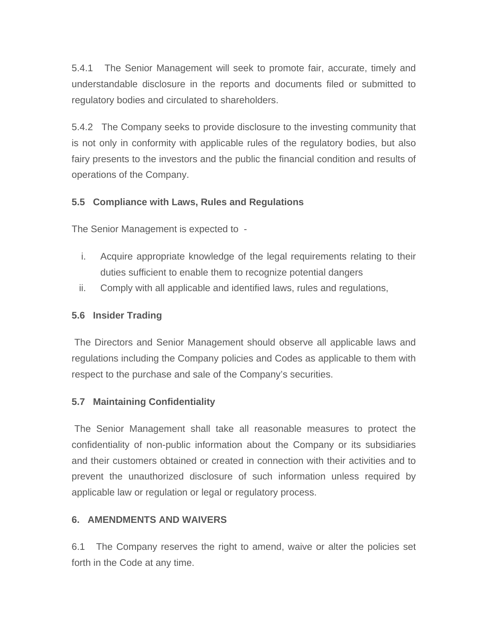5.4.1 The Senior Management will seek to promote fair, accurate, timely and understandable disclosure in the reports and documents filed or submitted to regulatory bodies and circulated to shareholders.

5.4.2 The Company seeks to provide disclosure to the investing community that is not only in conformity with applicable rules of the regulatory bodies, but also fairy presents to the investors and the public the financial condition and results of operations of the Company.

### **5.5 Compliance with Laws, Rules and Regulations**

The Senior Management is expected to -

- i. Acquire appropriate knowledge of the legal requirements relating to their duties sufficient to enable them to recognize potential dangers
- ii. Comply with all applicable and identified laws, rules and regulations,

## **5.6 Insider Trading**

 The Directors and Senior Management should observe all applicable laws and regulations including the Company policies and Codes as applicable to them with respect to the purchase and sale of the Company's securities.

# **5.7 Maintaining Confidentiality**

 The Senior Management shall take all reasonable measures to protect the confidentiality of non-public information about the Company or its subsidiaries and their customers obtained or created in connection with their activities and to prevent the unauthorized disclosure of such information unless required by applicable law or regulation or legal or regulatory process.

### **6. AMENDMENTS AND WAIVERS**

6.1 The Company reserves the right to amend, waive or alter the policies set forth in the Code at any time.